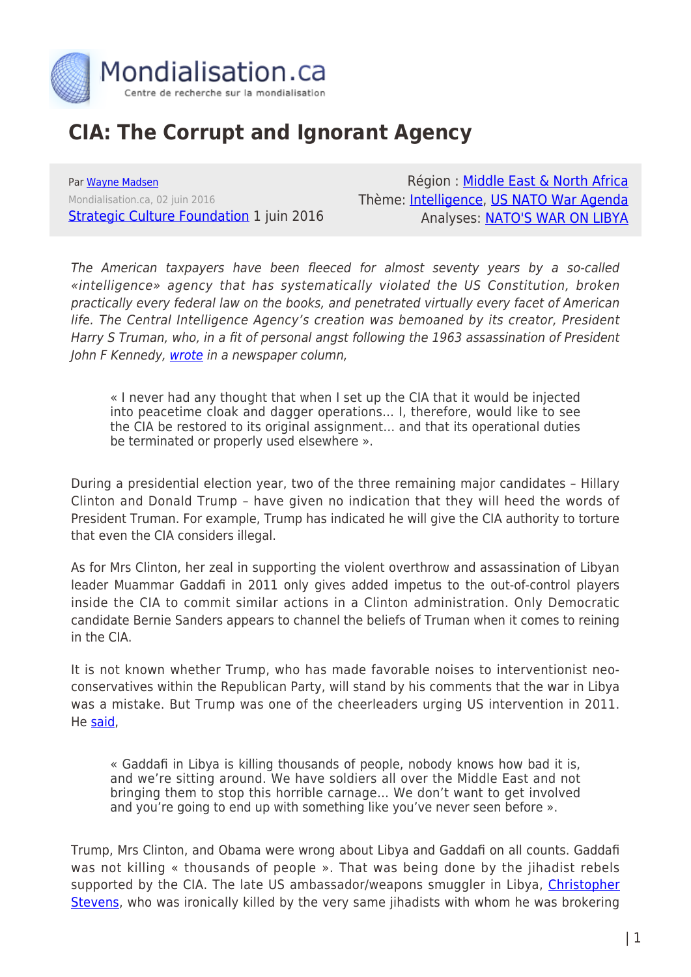

## **CIA: The Corrupt and Ignorant Agency**

Par [Wayne Madsen](https://www.mondialisation.ca/author/wayne-madsen) Mondialisation.ca, 02 juin 2016 **[Strategic Culture Foundation](http://www.strategic-culture.org/news/2016/06/01/cia-the-corrupt-and-ignorant-agency.html) 1 juin 2016** 

Région : [Middle East & North Africa](https://www.mondialisation.ca/region/middle-east) Thème: [Intelligence](https://www.mondialisation.ca/theme/intelligence), [US NATO War Agenda](https://www.mondialisation.ca/theme/us-nato-war-agenda) Analyses: [NATO'S WAR ON LIBYA](https://www.mondialisation.ca/indepthreport/nato-s-war-on-libya)

The American taxpayers have been fleeced for almost seventy years by a so-called «intelligence» agency that has systematically violated the US Constitution, broken practically every federal law on the books, and penetrated virtually every facet of American life. The Central Intelligence Agency's creation was bemoaned by its creator, President Harry S Truman, who, in a fit of personal angst following the 1963 assassination of President John F Kennedy, [wrote](https://consortiumnews.com/2013/12/22/trumans-true-warning-on-the-cia/) in a newspaper column,

« I never had any thought that when I set up the CIA that it would be injected into peacetime cloak and dagger operations… I, therefore, would like to see the CIA be restored to its original assignment… and that its operational duties be terminated or properly used elsewhere ».

During a presidential election year, two of the three remaining major candidates – Hillary Clinton and Donald Trump – have given no indication that they will heed the words of President Truman. For example, Trump has indicated he will give the CIA authority to torture that even the CIA considers illegal.

As for Mrs Clinton, her zeal in supporting the violent overthrow and assassination of Libyan leader Muammar Gaddafi in 2011 only gives added impetus to the out-of-control players inside the CIA to commit similar actions in a Clinton administration. Only Democratic candidate Bernie Sanders appears to channel the beliefs of Truman when it comes to reining in the CIA.

It is not known whether Trump, who has made favorable noises to interventionist neoconservatives within the Republican Party, will stand by his comments that the war in Libya was a mistake. But Trump was one of the cheerleaders urging US intervention in 2011. He [said](https://www.buzzfeed.com/andrewkaczynski/trump-claims-he-didnt-support-libya-intervention-but-he-did?utm_term=.thK9DGw5O#.xx5meVJrE),

« Gaddafi in Libya is killing thousands of people, nobody knows how bad it is, and we're sitting around. We have soldiers all over the Middle East and not bringing them to stop this horrible carnage… We don't want to get involved and you're going to end up with something like you've never seen before ».

Trump, Mrs Clinton, and Obama were wrong about Libya and Gaddafi on all counts. Gaddafi was not killing « thousands of people ». That was being done by the jihadist rebels supported by the CIA. The late US ambassador/weapons smuggler in Libya, [Christopher](https://en.wikipedia.org/wiki/J._Christopher_Stevens) [Stevens,](https://en.wikipedia.org/wiki/J._Christopher_Stevens) who was ironically killed by the very same jihadists with whom he was brokering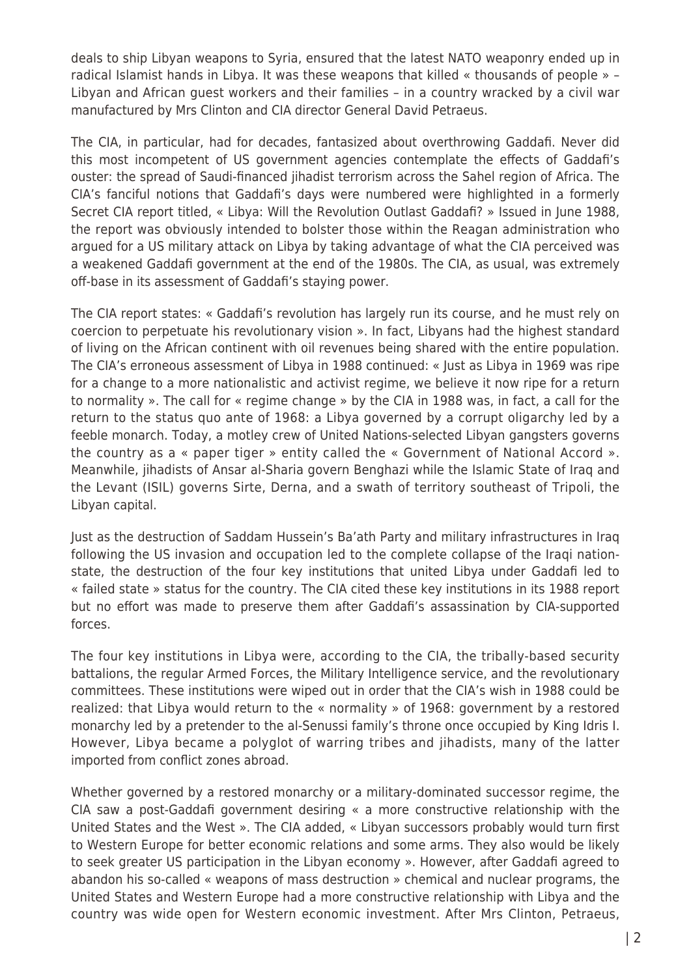deals to ship Libyan weapons to Syria, ensured that the latest NATO weaponry ended up in radical Islamist hands in Libya. It was these weapons that killed « thousands of people » – Libyan and African guest workers and their families – in a country wracked by a civil war manufactured by Mrs Clinton and CIA director General David Petraeus.

The CIA, in particular, had for decades, fantasized about overthrowing Gaddafi. Never did this most incompetent of US government agencies contemplate the effects of Gaddafi's ouster: the spread of Saudi-financed jihadist terrorism across the Sahel region of Africa. The CIA's fanciful notions that Gaddafi's days were numbered were highlighted in a formerly Secret CIA report titled, « Libya: Will the Revolution Outlast Gaddafi? » Issued in June 1988, the report was obviously intended to bolster those within the Reagan administration who argued for a US military attack on Libya by taking advantage of what the CIA perceived was a weakened Gaddafi government at the end of the 1980s. The CIA, as usual, was extremely off-base in its assessment of Gaddafi's staying power.

The CIA report states: « Gaddafi's revolution has largely run its course, and he must rely on coercion to perpetuate his revolutionary vision ». In fact, Libyans had the highest standard of living on the African continent with oil revenues being shared with the entire population. The CIA's erroneous assessment of Libya in 1988 continued: « Just as Libya in 1969 was ripe for a change to a more nationalistic and activist regime, we believe it now ripe for a return to normality ». The call for « regime change » by the CIA in 1988 was, in fact, a call for the return to the status quo ante of 1968: a Libya governed by a corrupt oligarchy led by a feeble monarch. Today, a motley crew of United Nations-selected Libyan gangsters governs the country as a « paper tiger » entity called the « Government of National Accord ». Meanwhile, jihadists of Ansar al-Sharia govern Benghazi while the Islamic State of Iraq and the Levant (ISIL) governs Sirte, Derna, and a swath of territory southeast of Tripoli, the Libyan capital.

Just as the destruction of Saddam Hussein's Ba'ath Party and military infrastructures in Iraq following the US invasion and occupation led to the complete collapse of the Iraqi nationstate, the destruction of the four key institutions that united Libya under Gaddafi led to « failed state » status for the country. The CIA cited these key institutions in its 1988 report but no effort was made to preserve them after Gaddafi's assassination by CIA-supported forces.

The four key institutions in Libya were, according to the CIA, the tribally-based security battalions, the regular Armed Forces, the Military Intelligence service, and the revolutionary committees. These institutions were wiped out in order that the CIA's wish in 1988 could be realized: that Libya would return to the « normality » of 1968: government by a restored monarchy led by a pretender to the al-Senussi family's throne once occupied by King Idris I. However, Libya became a polyglot of warring tribes and jihadists, many of the latter imported from conflict zones abroad.

Whether governed by a restored monarchy or a military-dominated successor regime, the CIA saw a post-Gaddafi government desiring « a more constructive relationship with the United States and the West ». The CIA added, « Libyan successors probably would turn first to Western Europe for better economic relations and some arms. They also would be likely to seek greater US participation in the Libyan economy ». However, after Gaddafi agreed to abandon his so-called « weapons of mass destruction » chemical and nuclear programs, the United States and Western Europe had a more constructive relationship with Libya and the country was wide open for Western economic investment. After Mrs Clinton, Petraeus,